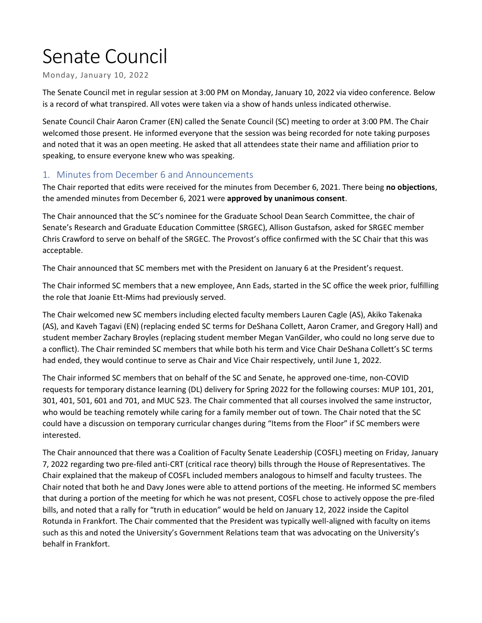# Senate Council

Monday, January 10, 2022

The Senate Council met in regular session at 3:00 PM on Monday, January 10, 2022 via video conference. Below is a record of what transpired. All votes were taken via a show of hands unless indicated otherwise.

Senate Council Chair Aaron Cramer (EN) called the Senate Council (SC) meeting to order at 3:00 PM. The Chair welcomed those present. He informed everyone that the session was being recorded for note taking purposes and noted that it was an open meeting. He asked that all attendees state their name and affiliation prior to speaking, to ensure everyone knew who was speaking.

### 1. Minutes from December 6 and Announcements

The Chair reported that edits were received for the minutes from December 6, 2021. There being **no objections**, the amended minutes from December 6, 2021 were **approved by unanimous consent**.

The Chair announced that the SC's nominee for the Graduate School Dean Search Committee, the chair of Senate's Research and Graduate Education Committee (SRGEC), Allison Gustafson, asked for SRGEC member Chris Crawford to serve on behalf of the SRGEC. The Provost's office confirmed with the SC Chair that this was acceptable.

The Chair announced that SC members met with the President on January 6 at the President's request.

The Chair informed SC members that a new employee, Ann Eads, started in the SC office the week prior, fulfilling the role that Joanie Ett-Mims had previously served.

The Chair welcomed new SC members including elected faculty members Lauren Cagle (AS), Akiko Takenaka (AS), and Kaveh Tagavi (EN) (replacing ended SC terms for DeShana Collett, Aaron Cramer, and Gregory Hall) and student member Zachary Broyles (replacing student member Megan VanGilder, who could no long serve due to a conflict). The Chair reminded SC members that while both his term and Vice Chair DeShana Collett's SC terms had ended, they would continue to serve as Chair and Vice Chair respectively, until June 1, 2022.

The Chair informed SC members that on behalf of the SC and Senate, he approved one-time, non-COVID requests for temporary distance learning (DL) delivery for Spring 2022 for the following courses: MUP 101, 201, 301, 401, 501, 601 and 701, and MUC 523. The Chair commented that all courses involved the same instructor, who would be teaching remotely while caring for a family member out of town. The Chair noted that the SC could have a discussion on temporary curricular changes during "Items from the Floor" if SC members were interested.

The Chair announced that there was a Coalition of Faculty Senate Leadership (COSFL) meeting on Friday, January 7, 2022 regarding two pre-filed anti-CRT (critical race theory) bills through the House of Representatives. The Chair explained that the makeup of COSFL included members analogous to himself and faculty trustees. The Chair noted that both he and Davy Jones were able to attend portions of the meeting. He informed SC members that during a portion of the meeting for which he was not present, COSFL chose to actively oppose the pre-filed bills, and noted that a rally for "truth in education" would be held on January 12, 2022 inside the Capitol Rotunda in Frankfort. The Chair commented that the President was typically well-aligned with faculty on items such as this and noted the University's Government Relations team that was advocating on the University's behalf in Frankfort.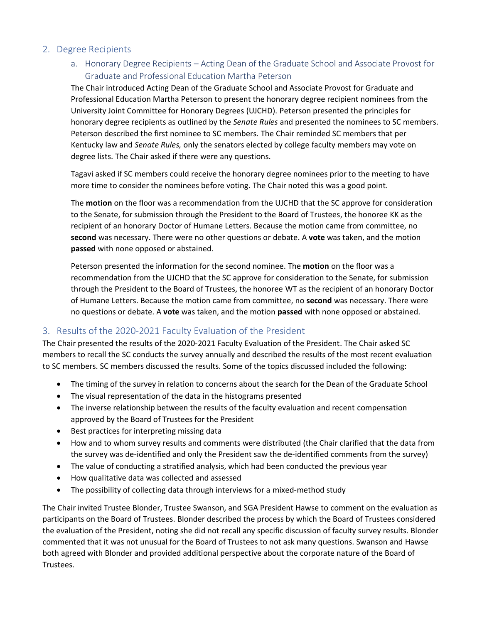### 2. Degree Recipients

## a. Honorary Degree Recipients – Acting Dean of the Graduate School and Associate Provost for Graduate and Professional Education Martha Peterson

The Chair introduced Acting Dean of the Graduate School and Associate Provost for Graduate and Professional Education Martha Peterson to present the honorary degree recipient nominees from the University Joint Committee for Honorary Degrees (UJCHD). Peterson presented the principles for honorary degree recipients as outlined by the *Senate Rules* and presented the nominees to SC members. Peterson described the first nominee to SC members. The Chair reminded SC members that per Kentucky law and *Senate Rules,* only the senators elected by college faculty members may vote on degree lists. The Chair asked if there were any questions.

Tagavi asked if SC members could receive the honorary degree nominees prior to the meeting to have more time to consider the nominees before voting. The Chair noted this was a good point.

The **motion** on the floor was a recommendation from the UJCHD that the SC approve for consideration to the Senate, for submission through the President to the Board of Trustees, the honoree KK as the recipient of an honorary Doctor of Humane Letters. Because the motion came from committee, no **second** was necessary. There were no other questions or debate. A **vote** was taken, and the motion **passed** with none opposed or abstained.

Peterson presented the information for the second nominee. The **motion** on the floor was a recommendation from the UJCHD that the SC approve for consideration to the Senate, for submission through the President to the Board of Trustees, the honoree WT as the recipient of an honorary Doctor of Humane Letters. Because the motion came from committee, no **second** was necessary. There were no questions or debate. A **vote** was taken, and the motion **passed** with none opposed or abstained.

### 3. Results of the 2020-2021 Faculty Evaluation of the President

The Chair presented the results of the 2020-2021 Faculty Evaluation of the President. The Chair asked SC members to recall the SC conducts the survey annually and described the results of the most recent evaluation to SC members. SC members discussed the results. Some of the topics discussed included the following:

- The timing of the survey in relation to concerns about the search for the Dean of the Graduate School
- The visual representation of the data in the histograms presented
- The inverse relationship between the results of the faculty evaluation and recent compensation approved by the Board of Trustees for the President
- Best practices for interpreting missing data
- How and to whom survey results and comments were distributed (the Chair clarified that the data from the survey was de-identified and only the President saw the de-identified comments from the survey)
- The value of conducting a stratified analysis, which had been conducted the previous year
- How qualitative data was collected and assessed
- The possibility of collecting data through interviews for a mixed-method study

The Chair invited Trustee Blonder, Trustee Swanson, and SGA President Hawse to comment on the evaluation as participants on the Board of Trustees. Blonder described the process by which the Board of Trustees considered the evaluation of the President, noting she did not recall any specific discussion of faculty survey results. Blonder commented that it was not unusual for the Board of Trustees to not ask many questions. Swanson and Hawse both agreed with Blonder and provided additional perspective about the corporate nature of the Board of Trustees.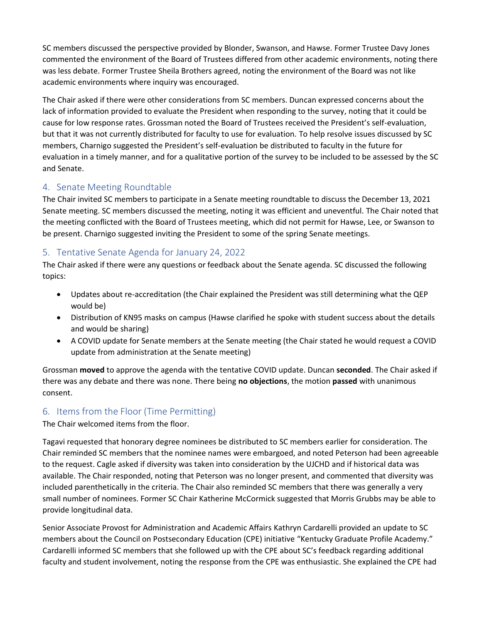SC members discussed the perspective provided by Blonder, Swanson, and Hawse. Former Trustee Davy Jones commented the environment of the Board of Trustees differed from other academic environments, noting there was less debate. Former Trustee Sheila Brothers agreed, noting the environment of the Board was not like academic environments where inquiry was encouraged.

The Chair asked if there were other considerations from SC members. Duncan expressed concerns about the lack of information provided to evaluate the President when responding to the survey, noting that it could be cause for low response rates. Grossman noted the Board of Trustees received the President's self-evaluation, but that it was not currently distributed for faculty to use for evaluation. To help resolve issues discussed by SC members, Charnigo suggested the President's self-evaluation be distributed to faculty in the future for evaluation in a timely manner, and for a qualitative portion of the survey to be included to be assessed by the SC and Senate.

## 4. Senate Meeting Roundtable

The Chair invited SC members to participate in a Senate meeting roundtable to discuss the December 13, 2021 Senate meeting. SC members discussed the meeting, noting it was efficient and uneventful. The Chair noted that the meeting conflicted with the Board of Trustees meeting, which did not permit for Hawse, Lee, or Swanson to be present. Charnigo suggested inviting the President to some of the spring Senate meetings.

## 5. Tentative Senate Agenda for January 24, 2022

The Chair asked if there were any questions or feedback about the Senate agenda. SC discussed the following topics:

- Updates about re-accreditation (the Chair explained the President was still determining what the QEP would be)
- Distribution of KN95 masks on campus (Hawse clarified he spoke with student success about the details and would be sharing)
- A COVID update for Senate members at the Senate meeting (the Chair stated he would request a COVID update from administration at the Senate meeting)

Grossman **moved** to approve the agenda with the tentative COVID update. Duncan **seconded**. The Chair asked if there was any debate and there was none. There being **no objections**, the motion **passed** with unanimous consent.

### 6. Items from the Floor (Time Permitting)

The Chair welcomed items from the floor.

Tagavi requested that honorary degree nominees be distributed to SC members earlier for consideration. The Chair reminded SC members that the nominee names were embargoed, and noted Peterson had been agreeable to the request. Cagle asked if diversity was taken into consideration by the UJCHD and if historical data was available. The Chair responded, noting that Peterson was no longer present, and commented that diversity was included parenthetically in the criteria. The Chair also reminded SC members that there was generally a very small number of nominees. Former SC Chair Katherine McCormick suggested that Morris Grubbs may be able to provide longitudinal data.

Senior Associate Provost for Administration and Academic Affairs Kathryn Cardarelli provided an update to SC members about the Council on Postsecondary Education (CPE) initiative "Kentucky Graduate Profile Academy." Cardarelli informed SC members that she followed up with the CPE about SC's feedback regarding additional faculty and student involvement, noting the response from the CPE was enthusiastic. She explained the CPE had